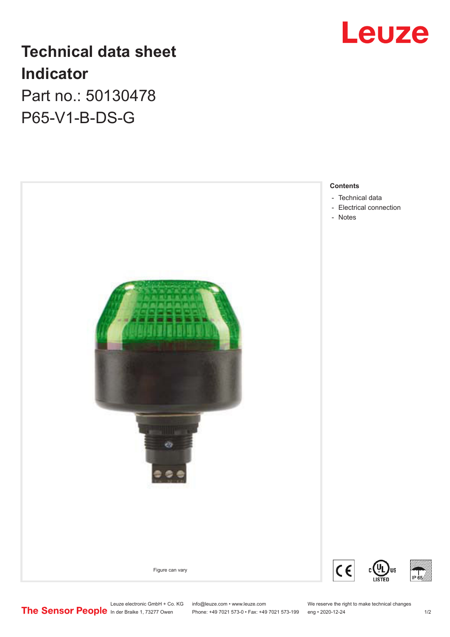

# **Technical data sheet Indicator** Part no.: 50130478

P65-V1-B-DS-G



In der Braike 1, 73277 Owen Phone: +49 7021 573-0 • Fax: +49 7021 573-199 eng • 2020-12-24 1 /2